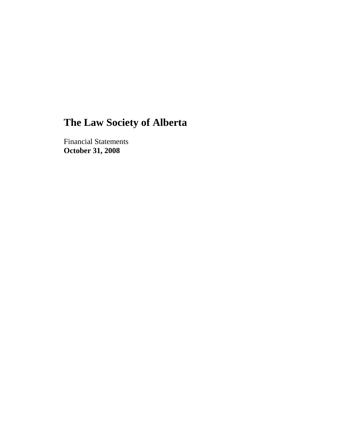# **The Law Society of Alberta**

Financial Statements **October 31, 2008**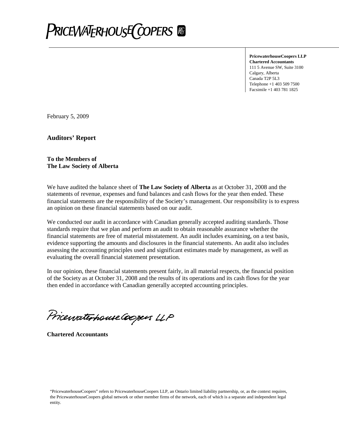

**PricewaterhouseCoopers LLP Chartered Accountants** 111 5 Avenue SW, Suite 3100 Calgary, Alberta Canada T2P 5L3 Telephone +1 403 509 7500 Facsimile +1 403 781 1825

February 5, 2009

**Auditors' Report**

#### **To the Members of The Law Society of Alberta**

We have audited the balance sheet of **The Law Society of Alberta** as at October 31, 2008 and the statements of revenue, expenses and fund balances and cash flows for the year then ended. These financial statements are the responsibility of the Society's management. Our responsibility is to express an opinion on these financial statements based on our audit.

We conducted our audit in accordance with Canadian generally accepted auditing standards. Those standards require that we plan and perform an audit to obtain reasonable assurance whether the financial statements are free of material misstatement. An audit includes examining, on a test basis, evidence supporting the amounts and disclosures in the financial statements. An audit also includes assessing the accounting principles used and significant estimates made by management, as well as evaluating the overall financial statement presentation.

In our opinion, these financial statements present fairly, in all material respects, the financial position of the Society as at October 31, 2008 and the results of its operations and its cash flows for the year then ended in accordance with Canadian generally accepted accounting principles.

Pricewaterhouse Coopers LLP

**Chartered Accountants**

"PricewaterhouseCoopers" refers to PricewaterhouseCoopers LLP, an Ontario limited liability partnership, or, as the context requires, the PricewaterhouseCoopers global network or other member firms of the network, each of which is a separate and independent legal entity.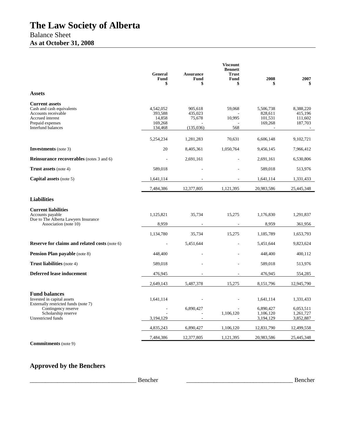|                                                                                                                                                | General<br>Fund<br>\$                                | <b>Assurance</b><br><b>Fund</b><br>\$     | <b>Viscount</b><br><b>Bennett</b><br><b>Trust</b><br>Fund<br>\$ | 2008                                       | 2007                                       |
|------------------------------------------------------------------------------------------------------------------------------------------------|------------------------------------------------------|-------------------------------------------|-----------------------------------------------------------------|--------------------------------------------|--------------------------------------------|
| <b>Assets</b>                                                                                                                                  |                                                      |                                           |                                                                 |                                            |                                            |
| <b>Current assets</b><br>Cash and cash equivalents<br>Accounts receivable<br>Accrued interest<br>Prepaid expenses<br><b>Interfund balances</b> | 4,542,052<br>393.588<br>14.858<br>169,268<br>134,468 | 905,618<br>435,023<br>75,678<br>(135,036) | 59,068<br>10,995<br>568                                         | 5,506,738<br>828,611<br>101,531<br>169,268 | 8,388,220<br>415.196<br>111,602<br>187,703 |
|                                                                                                                                                | 5,254,234                                            | 1,281,283                                 | 70.631                                                          | 6,606,148                                  | 9,102,721                                  |
| <b>Investments</b> (note 3)                                                                                                                    | 20                                                   | 8,405,361                                 | 1,050,764                                                       | 9,456,145                                  | 7,966,412                                  |
| <b>Reinsurance recoverables</b> (notes 3 and 6)                                                                                                |                                                      | 2,691,161                                 |                                                                 | 2,691,161                                  | 6,530,806                                  |
| <b>Trust assets</b> (note 4)                                                                                                                   | 589,018                                              |                                           |                                                                 | 589,018                                    | 513,976                                    |
| <b>Capital assets</b> (note 5)                                                                                                                 | 1,641,114                                            |                                           |                                                                 | 1,641,114                                  | 1,331,433                                  |
|                                                                                                                                                | 7,484,386                                            | 12,377,805                                | 1,121,395                                                       | 20,983,586                                 | 25,445,348                                 |
| <b>Liabilities</b>                                                                                                                             |                                                      |                                           |                                                                 |                                            |                                            |
| <b>Current liabilities</b><br>Accounts payable<br>Due to The Alberta Lawyers Insurance<br>Association (note 10)                                | 1,125,821<br>8,959                                   | 35,734                                    | 15,275                                                          | 1,176,830<br>8,959                         | 1,291,837<br>361,956                       |
|                                                                                                                                                | 1,134,780                                            | 35,734                                    | 15,275                                                          | 1,185,789                                  | 1,653,793                                  |
| <b>Reserve for claims and related costs (note 6)</b>                                                                                           |                                                      | 5,451,644                                 |                                                                 | 5,451,644                                  | 9,823,624                                  |
| <b>Pension Plan payable</b> (note 8)                                                                                                           | 448,400                                              |                                           |                                                                 | 448,400                                    | 400,112                                    |
| <b>Trust liabilities</b> (note 4)                                                                                                              | 589,018                                              |                                           |                                                                 | 589,018                                    | 513,976                                    |
| <b>Deferred lease inducement</b>                                                                                                               | 476,945                                              |                                           |                                                                 | 476,945                                    | 554,285                                    |
|                                                                                                                                                | 2,649,143                                            | 5,487,378                                 | 15,275                                                          | 8,151,796                                  | 12,945,790                                 |
| <b>Fund balances</b><br>Invested in capital assets<br>Externally restricted funds (note 7)<br>Contingency reserve<br>Scholarship reserve       | 1,641,114                                            | 6.890.427                                 | 1,106,120                                                       | 1,641,114<br>6,890,427<br>1,106,120        | 1,331,433<br>6.053.511<br>1,261,727        |
| Unrestricted funds                                                                                                                             | 3,194,129                                            |                                           |                                                                 | 3,194,129                                  | 3,852,887                                  |
|                                                                                                                                                | 4,835,243                                            | 6,890,427                                 | 1,106,120                                                       | 12,831,790                                 | 12,499,558                                 |
| <b>Commitments</b> (note 9)                                                                                                                    | 7,484,386                                            | 12,377,805                                | 1,121,395                                                       | 20,983,586                                 | 25,445,348                                 |

# **Approved by the Benchers**

\_\_\_\_\_\_\_\_\_\_\_\_\_\_\_\_\_\_\_\_\_\_\_\_\_\_\_\_\_\_\_\_\_\_\_ Bencher \_\_\_\_\_\_\_\_\_\_\_\_\_\_\_\_\_\_\_\_\_\_\_\_\_\_\_\_\_\_\_\_\_\_\_ Bencher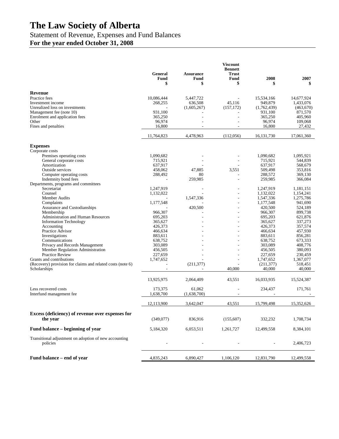# **The Law Society of Alberta**

# Statement of Revenue, Expenses and Fund Balances

**For the year ended October 31, 2008**

|                                                                    | General<br>Fund<br>\$ | <b>Assurance</b><br><b>Fund</b><br>\$ | <b>Viscount</b><br><b>Bennett</b><br><b>Trust</b><br>Fund<br>\$ | 2008                 | 2007<br>\$         |
|--------------------------------------------------------------------|-----------------------|---------------------------------------|-----------------------------------------------------------------|----------------------|--------------------|
| <b>Revenue</b>                                                     |                       |                                       |                                                                 |                      |                    |
| Practice fees                                                      | 10,086,444            | 5,447,722                             |                                                                 | 15,534,166           | 14,677,924         |
| Investment income                                                  | 268,255               | 636,508                               | 45,116                                                          | 949,879              | 1,433,076          |
| Unrealized loss on investments                                     |                       | (1,605,267)                           | (157, 172)                                                      | (1,762,439)          | (463,670)          |
| Management fee (note 10)                                           | 931,100               |                                       |                                                                 | 931,100              | 871,570            |
| Enrolment and application fees                                     | 365,250               |                                       | ÷,                                                              | 365,250              | 405,960            |
| Other                                                              | 96,974                |                                       |                                                                 | 96,974               | 109,068            |
| Fines and penalties                                                | 16,800                |                                       |                                                                 | 16,800               | 27,432             |
|                                                                    | 11,764,823            | 4,478,963                             | (112,056)                                                       | 16, 131, 730         | 17,061,360         |
| <b>Expenses</b>                                                    |                       |                                       |                                                                 |                      |                    |
| Corporate costs                                                    |                       |                                       |                                                                 |                      |                    |
| Premises operating costs                                           | 1,090,682             |                                       |                                                                 | 1,090,682            | 1,095,921          |
| General corporate costs<br>Amortization                            | 715,921               |                                       |                                                                 | 715,921              | 544,839            |
| <b>Outside services</b>                                            | 637,917<br>458,062    | 47,885                                | 3,551                                                           | 637,917<br>509,498   | 568,679<br>353,816 |
| Computer operating costs                                           | 288,492               | 80                                    |                                                                 | 288,572              | 369,130            |
| Indemnity bond fees                                                |                       | 259,985                               | ÷,                                                              | 259,985              | 366,084            |
| Departments, programs and committees                               |                       |                                       |                                                                 |                      |                    |
| Secretariat                                                        | 1,247,919             |                                       |                                                                 | 1,247,919            | 1.181.151          |
| Counsel                                                            | 1,132,022             |                                       | ÷,                                                              | 1,132,022            | 1,154,241          |
| Member Audits                                                      |                       | 1,547,336                             |                                                                 | 1,547,336            | 1,275,786          |
| Complaints<br>Assurance and Custodianships                         | 1,177,548             | 420,500                               |                                                                 | 1,177,548<br>420,500 | 941,690<br>524,189 |
| Membership                                                         | 966,307               |                                       |                                                                 | 966,307              | 899,738            |
| Administration and Human Resources                                 | 695,203               |                                       |                                                                 | 695,203              | 621.876            |
| <b>Information Technology</b>                                      | 365.627               |                                       |                                                                 | 365,627              | 337,273            |
| Accounting                                                         | 426,373               |                                       |                                                                 | 426,373              | 357,574            |
| Practice Advisor                                                   | 466,634               |                                       |                                                                 | 466,634              | 457,930            |
| Investigations                                                     | 883,611               |                                       |                                                                 | 883,611              | 856,281            |
| Communications                                                     | 638,752               |                                       |                                                                 | 638,752              | 673,333            |
| Privacy and Records Management<br>Member Regulation Administration | 303,089<br>456,505    |                                       | ÷                                                               | 303,089<br>456,505   | 408,776<br>380,093 |
| <b>Practice Review</b>                                             | 227,659               |                                       |                                                                 | 227,659              | 230,459            |
| Grants and contributions                                           | 1,747,652             |                                       |                                                                 | 1,747,652            | 1,367,077          |
| (Recovery) provision for claims and related costs (note 6)         |                       | (211, 377)                            |                                                                 | (211, 377)           | 518,451            |
| Scholarships                                                       |                       |                                       | 40,000                                                          | 40,000               | 40,000             |
|                                                                    | 13,925,975            | 2,064,409                             | 43,551                                                          | 16,033,935           | 15,524,387         |
| Less recovered costs                                               | 173.375               | 61,062                                | $\overline{\phantom{a}}$                                        | 234,437              | 171,761            |
| Interfund management fee                                           | 1,638,700             | (1,638,700)                           | $\overline{\phantom{a}}$                                        | ÷,                   |                    |
|                                                                    | 12,113,900            | 3,642,047                             | 43,551                                                          | 15,799,498           | 15,352,626         |
|                                                                    |                       |                                       |                                                                 |                      |                    |
| Excess (deficiency) of revenue over expenses for<br>the year       | (349,077)             | 836,916                               | (155,607)                                                       | 332,232              | 1,708,734          |
| Fund balance – beginning of year                                   | 5,184,320             | 6,053,511                             | 1,261,727                                                       | 12,499,558           | 8,384,101          |
| Transitional adjustment on adoption of new accounting<br>policies  |                       |                                       |                                                                 |                      | 2,406,723          |
| Fund balance – end of year                                         | 4,835,243             | 6,890,427                             | 1,106,120                                                       | 12,831,790           | 12,499,558         |
|                                                                    |                       |                                       |                                                                 |                      |                    |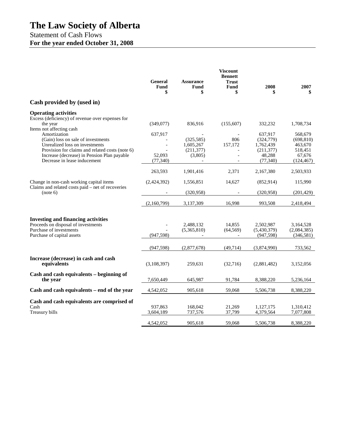# **The Law Society of Alberta**

# Statement of Cash Flows **For the year ended October 31, 2008**

|                                                                                                                                                                                                                                                    | <b>General</b><br>Fund<br>\$   | <b>Assurance</b><br>Fund<br>\$                   | <b>Viscount</b><br><b>Bennett</b><br><b>Trust</b><br>Fund<br>\$ | 2008                                                                   | 2007<br>\$                                                          |
|----------------------------------------------------------------------------------------------------------------------------------------------------------------------------------------------------------------------------------------------------|--------------------------------|--------------------------------------------------|-----------------------------------------------------------------|------------------------------------------------------------------------|---------------------------------------------------------------------|
| Cash provided by (used in)                                                                                                                                                                                                                         |                                |                                                  |                                                                 |                                                                        |                                                                     |
| <b>Operating activities</b><br>Excess (deficiency) of revenue over expenses for<br>the year                                                                                                                                                        | (349,077)                      | 836,916                                          | (155,607)                                                       | 332,232                                                                | 1,708,734                                                           |
| Items not affecting cash<br>Amortization<br>(Gain) loss on sale of investments<br>Unrealized loss on investments<br>Provision for claims and related costs (note 6)<br>Increase (decrease) in Pension Plan payable<br>Decrease in lease inducement | 637,917<br>52,093<br>(77, 340) | (325, 585)<br>1,605,267<br>(211, 377)<br>(3,805) | 806<br>157,172                                                  | 637,917<br>(324,779)<br>1,762,439<br>(211, 377)<br>48,288<br>(77, 340) | 568,679<br>(698, 810)<br>463,670<br>518,451<br>67,676<br>(124, 467) |
|                                                                                                                                                                                                                                                    | 263,593                        | 1,901,416                                        | 2,371                                                           | 2,167,380                                                              | 2,503,933                                                           |
| Change in non-cash working capital items                                                                                                                                                                                                           | (2,424,392)                    | 1,556,851                                        | 14,627                                                          | (852, 914)                                                             | 115,990                                                             |
| Claims and related costs paid – net of recoveries<br>(note 6)                                                                                                                                                                                      |                                | (320, 958)                                       |                                                                 | (320, 958)                                                             | (201, 429)                                                          |
|                                                                                                                                                                                                                                                    | (2,160,799)                    | 3,137,309                                        | 16,998                                                          | 993,508                                                                | 2,418,494                                                           |
| <b>Investing and financing activities</b><br>Proceeds on disposal of investments<br>Purchase of investments<br>Purchase of capital assets                                                                                                          | (947, 598)                     | 2,488,132<br>(5,365,810)                         | 14,855<br>(64, 569)<br>$\overline{\phantom{a}}$                 | 2,502,987<br>(5,430,379)<br>(947, 598)                                 | 3,164,528<br>(2,084,385)<br>(346,581)                               |
|                                                                                                                                                                                                                                                    | (947, 598)                     | (2,877,678)                                      | (49,714)                                                        | (3,874,990)                                                            | 733,562                                                             |
| Increase (decrease) in cash and cash<br>equivalents                                                                                                                                                                                                | (3,108,397)                    | 259,631                                          | (32,716)                                                        | (2,881,482)                                                            | 3,152,056                                                           |
| Cash and cash equivalents – beginning of<br>the year                                                                                                                                                                                               | 7,650,449                      | 645,987                                          | 91,784                                                          | 8,388,220                                                              | 5,236,164                                                           |
| Cash and cash equivalents – end of the year                                                                                                                                                                                                        | 4,542,052                      | 905,618                                          | 59,068                                                          | 5,506,738                                                              | 8,388,220                                                           |
| Cash and cash equivalents are comprised of<br>Cash<br>Treasury bills                                                                                                                                                                               | 937,863<br>3,604,189           | 168,042<br>737,576                               | 21,269<br>37,799                                                | 1,127,175<br>4,379,564                                                 | 1,310,412<br>7,077,808                                              |
|                                                                                                                                                                                                                                                    | 4.542.052                      | 905,618                                          | 59,068                                                          | 5,506,738                                                              | 8,388,220                                                           |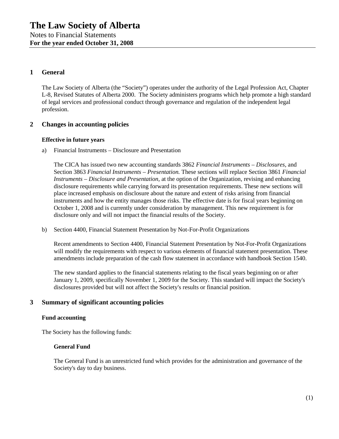### **1 General**

The Law Society of Alberta (the "Society") operates under the authority of the Legal Profession Act, Chapter L-8, Revised Statutes of Alberta 2000. The Society administers programs which help promote a high standard of legal services and professional conduct through governance and regulation of the independent legal profession.

#### **2 Changes in accounting policies**

#### **Effective in future years**

a) Financial Instruments – Disclosure and Presentation

The CICA has issued two new accounting standards 3862 *Financial Instruments – Disclosures,* and Section 3863 *Financial Instruments – Presentation.* These sections will replace Section 3861 *Financial Instruments – Disclosure and Presentation,* at the option of the Organization*,* revising and enhancing disclosure requirements while carrying forward its presentation requirements. These new sections will place increased emphasis on disclosure about the nature and extent of risks arising from financial instruments and how the entity manages those risks. The effective date is for fiscal years beginning on October 1, 2008 and is currently under consideration by management. This new requirement is for disclosure only and will not impact the financial results of the Society.

b) Section 4400, Financial Statement Presentation by Not-For-Profit Organizations

Recent amendments to Section 4400, Financial Statement Presentation by Not-For-Profit Organizations will modify the requirements with respect to various elements of financial statement presentation. These amendments include preparation of the cash flow statement in accordance with handbook Section 1540.

The new standard applies to the financial statements relating to the fiscal years beginning on or after January 1, 2009, specifically November 1, 2009 for the Society. This standard will impact the Society's disclosures provided but will not affect the Society's results or financial position.

#### **3 Summary of significant accounting policies**

#### **Fund accounting**

The Society has the following funds:

#### **General Fund**

The General Fund is an unrestricted fund which provides for the administration and governance of the Society's day to day business.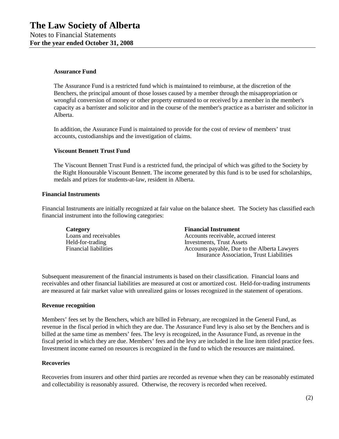#### **Assurance Fund**

The Assurance Fund is a restricted fund which is maintained to reimburse, at the discretion of the Benchers, the principal amount of those losses caused by a member through the misappropriation or wrongful conversion of money or other property entrusted to or received by a member in the member's capacity as a barrister and solicitor and in the course of the member's practice as a barrister and solicitor in Alberta.

In addition, the Assurance Fund is maintained to provide for the cost of review of members' trust accounts, custodianships and the investigation of claims.

#### **Viscount Bennett Trust Fund**

The Viscount Bennett Trust Fund is a restricted fund, the principal of which was gifted to the Society by the Right Honourable Viscount Bennett. The income generated by this fund is to be used for scholarships, medals and prizes for students-at-law, resident in Alberta.

#### **Financial Instruments**

Financial Instruments are initially recognized at fair value on the balance sheet. The Society has classified each financial instrument into the following categories:

| Category                     | <b>Financial Instrument</b>                     |
|------------------------------|-------------------------------------------------|
| Loans and receivables        | Accounts receivable, accrued interest           |
| Held-for-trading             | Investments, Trust Assets                       |
| <b>Financial liabilities</b> | Accounts payable, Due to the Alberta Lawyers    |
|                              | <b>Insurance Association, Trust Liabilities</b> |

Subsequent measurement of the financial instruments is based on their classification. Financial loans and receivables and other financial liabilities are measured at cost or amortized cost. Held-for-trading instruments are measured at fair market value with unrealized gains or losses recognized in the statement of operations.

#### **Revenue recognition**

Members' fees set by the Benchers, which are billed in February, are recognized in the General Fund, as revenue in the fiscal period in which they are due. The Assurance Fund levy is also set by the Benchers and is billed at the same time as members' fees. The levy is recognized, in the Assurance Fund, as revenue in the fiscal period in which they are due. Members' fees and the levy are included in the line item titled practice fees. Investment income earned on resources is recognized in the fund to which the resources are maintained.

#### **Recoveries**

Recoveries from insurers and other third parties are recorded as revenue when they can be reasonably estimated and collectability is reasonably assured. Otherwise, the recovery is recorded when received.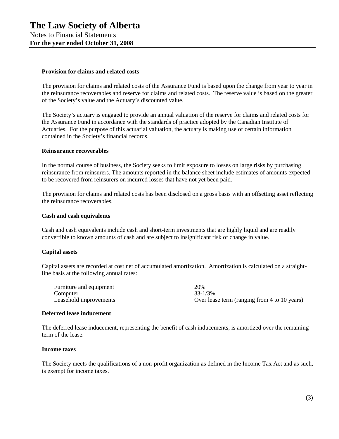#### **Provision for claims and related costs**

The provision for claims and related costs of the Assurance Fund is based upon the change from year to year in the reinsurance recoverables and reserve for claims and related costs. The reserve value is based on the greater of the Society's value and the Actuary's discounted value.

The Society's actuary is engaged to provide an annual valuation of the reserve for claims and related costs for the Assurance Fund in accordance with the standards of practice adopted by the Canadian Institute of Actuaries. For the purpose of this actuarial valuation, the actuary is making use of certain information contained in the Society's financial records.

#### **Reinsurance recoverables**

In the normal course of business, the Society seeks to limit exposure to losses on large risks by purchasing reinsurance from reinsurers. The amounts reported in the balance sheet include estimates of amounts expected to be recovered from reinsurers on incurred losses that have not yet been paid.

The provision for claims and related costs has been disclosed on a gross basis with an offsetting asset reflecting the reinsurance recoverables.

#### **Cash and cash equivalents**

Cash and cash equivalents include cash and short-term investments that are highly liquid and are readily convertible to known amounts of cash and are subject to insignificant risk of change in value.

#### **Capital assets**

Capital assets are recorded at cost net of accumulated amortization. Amortization is calculated on a straightline basis at the following annual rates:

| Furniture and equipment | 20%                                          |
|-------------------------|----------------------------------------------|
| Computer                | 33-1/3%                                      |
| Leasehold improvements  | Over lease term (ranging from 4 to 10 years) |

#### **Deferred lease inducement**

The deferred lease inducement, representing the benefit of cash inducements, is amortized over the remaining term of the lease.

#### **Income taxes**

The Society meets the qualifications of a non-profit organization as defined in the Income Tax Act and as such, is exempt for income taxes.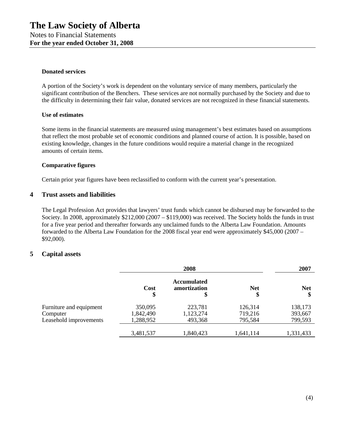#### **Donated services**

A portion of the Society's work is dependent on the voluntary service of many members, particularly the significant contribution of the Benchers. These services are not normally purchased by the Society and due to the difficulty in determining their fair value, donated services are not recognized in these financial statements.

#### **Use of estimates**

Some items in the financial statements are measured using management's best estimates based on assumptions that reflect the most probable set of economic conditions and planned course of action. It is possible, based on existing knowledge, changes in the future conditions would require a material change in the recognized amounts of certain items.

#### **Comparative figures**

Certain prior year figures have been reclassified to conform with the current year's presentation.

### **4 Trust assets and liabilities**

The Legal Profession Act provides that lawyers' trust funds which cannot be disbursed may be forwarded to the Society. In 2008, approximately \$212,000 (2007 – \$119,000) was received. The Society holds the funds in trust for a five year period and thereafter forwards any unclaimed funds to the Alberta Law Foundation. Amounts forwarded to the Alberta Law Foundation for the 2008 fiscal year end were approximately \$45,000 (2007 – \$92,000).

#### **5 Capital assets**

|                         |            | 2008                                     |                  |                  |  |  | 2007 |
|-------------------------|------------|------------------------------------------|------------------|------------------|--|--|------|
|                         | Cost<br>\$ | <b>Accumulated</b><br>amortization<br>\$ | <b>Net</b><br>\$ | <b>Net</b><br>\$ |  |  |      |
| Furniture and equipment | 350,095    | 223,781                                  | 126,314          | 138,173          |  |  |      |
| Computer                | 1,842,490  | 1,123,274                                | 719,216          | 393,667          |  |  |      |
| Leasehold improvements  | 1,288,952  | 493,368                                  | 795,584          | 799,593          |  |  |      |
|                         | 3,481,537  | 1,840,423                                | 1,641,114        | 1,331,433        |  |  |      |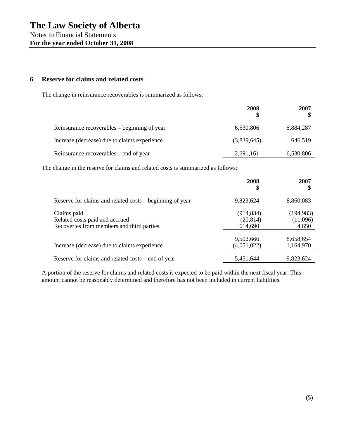#### **6 Reserve for claims and related costs**

The change in reinsurance recoverables is summarized as follows:

|                                              | 2008        | 2007      |
|----------------------------------------------|-------------|-----------|
| Reinsurance recoverables – beginning of year | 6,530,806   | 5,884,287 |
| Increase (decrease) due to claims experience | (3,839,645) | 646,519   |
| Reinsurance recoverables – end of year       | 2,691,161   | 6,530,806 |

The change in the reserve for claims and related costs is summarized as follows:

|                                                                                            | 2008<br>\$                         | 2007                            |
|--------------------------------------------------------------------------------------------|------------------------------------|---------------------------------|
| Reserve for claims and related costs – beginning of year                                   | 9,823,624                          | 8,860,083                       |
| Claims paid<br>Related costs paid and accrued<br>Recoveries from members and third parties | (914, 834)<br>(20, 814)<br>614,690 | (194, 983)<br>(11,096)<br>4,650 |
| Increase (decrease) due to claims experience                                               | 9,502,666<br>(4,051,022)           | 8,658,654<br>1,164,970          |
| Reserve for claims and related costs – end of year                                         | 5,451,644                          | 9,823,624                       |

A portion of the reserve for claims and related costs is expected to be paid within the next fiscal year. This amount cannot be reasonably determined and therefore has not been included in current liabilities.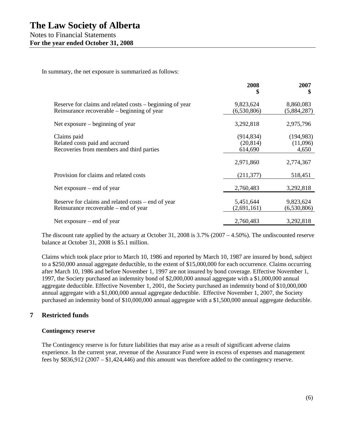In summary, the net exposure is summarized as follows:

|                                                                                                         | 2008<br>\$                         | 2007<br>\$                      |
|---------------------------------------------------------------------------------------------------------|------------------------------------|---------------------------------|
| Reserve for claims and related costs – beginning of year<br>Reinsurance recoverable – beginning of year | 9,823,624<br>(6,530,806)           | 8,860,083<br>(5,884,287)        |
| Net exposure $-$ beginning of year                                                                      | 3,292,818                          | 2,975,796                       |
| Claims paid<br>Related costs paid and accrued<br>Recoveries from members and third parties              | (914, 834)<br>(20, 814)<br>614,690 | (194, 983)<br>(11,096)<br>4,650 |
|                                                                                                         | 2,971,860                          | 2,774,367                       |
| Provision for claims and related costs                                                                  | (211, 377)                         | 518,451                         |
| Net exposure $-$ end of year                                                                            | 2,760,483                          | 3,292,818                       |
| Reserve for claims and related costs – end of year<br>Reinsurance recoverable – end of year             | 5,451,644<br>(2,691,161)           | 9,823,624<br>(6,530,806)        |
| Net exposure $-$ end of year                                                                            | 2,760,483                          | 3,292,818                       |

The discount rate applied by the actuary at October 31, 2008 is 3.7% (2007 – 4.50%). The undiscounted reserve balance at October 31, 2008 is \$5.1 million.

Claims which took place prior to March 10, 1986 and reported by March 10, 1987 are insured by bond, subject to a \$250,000 annual aggregate deductible, to the extent of \$15,000,000 for each occurrence. Claims occurring after March 10, 1986 and before November 1, 1997 are not insured by bond coverage. Effective November 1, 1997, the Society purchased an indemnity bond of \$2,000,000 annual aggregate with a \$1,000,000 annual aggregate deductible. Effective November 1, 2001, the Society purchased an indemnity bond of \$10,000,000 annual aggregate with a \$1,000,000 annual aggregate deductible. Effective November 1, 2007, the Society purchased an indemnity bond of \$10,000,000 annual aggregate with a \$1,500,000 annual aggregate deductible.

## **7 Restricted funds**

#### **Contingency reserve**

The Contingency reserve is for future liabilities that may arise as a result of significant adverse claims experience. In the current year, revenue of the Assurance Fund were in excess of expenses and management fees by \$836,912 (2007 – \$1,424,446) and this amount was therefore added to the contingency reserve.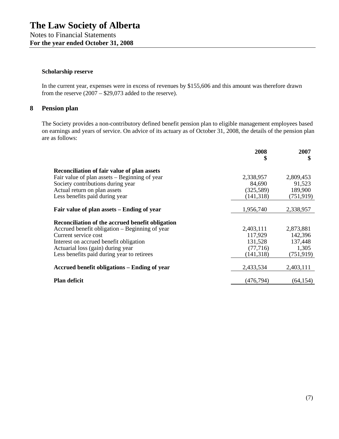#### **Scholarship reserve**

In the current year, expenses were in excess of revenues by \$155,606 and this amount was therefore drawn from the reserve  $(2007 - $29,073)$  added to the reserve).

# **8 Pension plan**

The Society provides a non-contributory defined benefit pension plan to eligible management employees based on earnings and years of service. On advice of its actuary as of October 31, 2008, the details of the pension plan are as follows:

|                                                    | 2008<br>\$ | 2007<br>\$ |
|----------------------------------------------------|------------|------------|
| <b>Reconciliation of fair value of plan assets</b> |            |            |
| Fair value of plan assets – Beginning of year      | 2,338,957  | 2,809,453  |
| Society contributions during year                  | 84,690     | 91,523     |
| Actual return on plan assets                       | (325,589)  | 189,900    |
| Less benefits paid during year                     | (141, 318) | (751, 919) |
|                                                    |            |            |
| Fair value of plan assets – Ending of year         | 1,956,740  | 2,338,957  |
| Reconciliation of the accrued benefit obligation   |            |            |
| Accrued benefit obligation – Beginning of year     | 2,403,111  | 2,873,881  |
| Current service cost                               | 117,929    | 142,396    |
| Interest on accrued benefit obligation             | 131,528    | 137,448    |
| Actuarial loss (gain) during year                  | (77, 716)  | 1,305      |
| Less benefits paid during year to retirees         | (141, 318) | (751, 919) |
| Accrued benefit obligations – Ending of year       | 2,433,534  | 2,403,111  |
| <b>Plan deficit</b>                                | (476, 794) | (64, 154)  |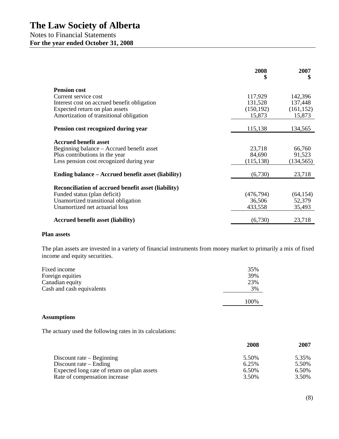|                                                                                     | 2008<br>\$           | 2007<br>\$           |
|-------------------------------------------------------------------------------------|----------------------|----------------------|
| <b>Pension cost</b>                                                                 |                      |                      |
| Current service cost                                                                | 117,929              | 142,396              |
| Interest cost on accrued benefit obligation                                         | 131,528              | 137,448              |
| Expected return on plan assets                                                      | (150, 192)           | (161, 152)           |
| Amortization of transitional obligation                                             | 15,873               | 15,873               |
| Pension cost recognized during year                                                 | 115,138              | 134,565              |
|                                                                                     |                      |                      |
| <b>Accrued benefit asset</b>                                                        |                      |                      |
| Beginning balance – Accrued benefit asset                                           | 23,718               | 66,760               |
| Plus contributions in the year<br>Less pension cost recognized during year          | 84,690<br>(115, 138) | 91,523<br>(134, 565) |
|                                                                                     |                      |                      |
| Ending balance – Accrued benefit asset (liability)                                  | (6,730)              | 23,718               |
|                                                                                     |                      |                      |
| Reconciliation of accrued benefit asset (liability)<br>Funded status (plan deficit) | (476, 794)           | (64, 154)            |
| Unamortized transitional obligation                                                 | 36,506               | 52,379               |
| Unamortized net actuarial loss                                                      | 433,558              | 35,493               |
|                                                                                     |                      |                      |
| <b>Accrued benefit asset (liability)</b>                                            | (6,730)              | 23,718               |
|                                                                                     |                      |                      |

#### **Plan assets**

The plan assets are invested in a variety of financial instruments from money market to primarily a mix of fixed income and equity securities.

| Fixed income              | 35%  |
|---------------------------|------|
| Foreign equities          | 39%  |
| Canadian equity           | 23%  |
| Cash and cash equivalents | 3%   |
|                           | 100% |
|                           |      |

#### **Assumptions**

The actuary used the following rates in its calculations:

|                                             | 2008  | 2007  |
|---------------------------------------------|-------|-------|
| Discount rate $-$ Beginning                 | 5.50% | 5.35% |
| Discount rate $-$ Ending                    | 6.25% | 5.50% |
| Expected long rate of return on plan assets | 6.50% | 6.50% |
| Rate of compensation increase               | 3.50% | 3.50% |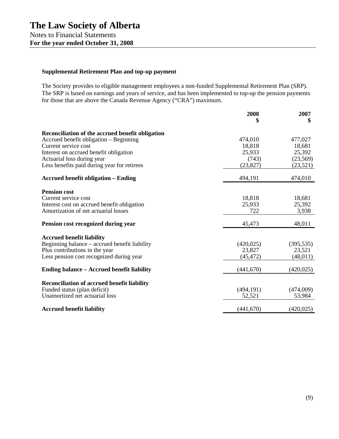# **Supplemental Retirement Plan and top-up payment**

The Society provides to eligible management employees a non-funded Supplemental Retirement Plan (SRP). The SRP is based on earnings and years of service, and has been implemented to top-up the pension payments for those that are above the Canada Revenue Agency ("CRA") maximum.

|                                                    | 2008       | 2007<br>\$ |
|----------------------------------------------------|------------|------------|
| Reconciliation of the accrued benefit obligation   |            |            |
| Accrued benefit obligation – Beginning             | 474,010    | 477,027    |
| Current service cost                               | 18,818     | 18,681     |
| Interest on accrued benefit obligation             | 25,933     | 25,392     |
| Actuarial loss during year                         | (743)      | (23, 569)  |
| Less benefits paid during year for retirees        | (23, 827)  | (23, 521)  |
| <b>Accrued benefit obligation – Ending</b>         | 494,191    | 474,010    |
| <b>Pension cost</b>                                |            |            |
| Current service cost                               | 18,818     | 18,681     |
| Interest cost on accrued benefit obligation        | 25,933     | 25,392     |
| Amortization of net actuarial losses               | 722        | 3,938      |
| Pension cost recognized during year                | 45,473     | 48,011     |
| <b>Accrued benefit liability</b>                   |            |            |
| Beginning balance – accrued benefit liability      | (420, 025) | (395, 535) |
| Plus contributions in the year                     | 23,827     | 23,521     |
| Less pension cost recognized during year           | (45,472)   | (48, 011)  |
| Ending balance – Accrued benefit liability         | (441, 670) | (420, 025) |
| <b>Reconciliation of accrued benefit liability</b> |            |            |
| Funded status (plan deficit)                       | (494, 191) | (474,009)  |
| Unamortized net actuarial loss                     | 52,521     | 53,984     |
|                                                    |            |            |
| <b>Accrued benefit liability</b>                   | (441,670)  | (420, 025) |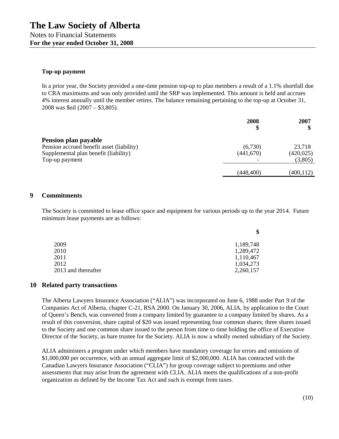#### **Top-up payment**

In a prior year, the Society provided a one-time pension top-up to plan members a result of a 1.1% shortfall due to CRA maximums and was only provided until the SRP was implemented. This amount is held and accrues 4% interest annually until the member retires. The balance remaining pertaining to the top-up at October 31, 2008 was \$nil (2007 – \$3,805).

|                                                                                                                              | 2008<br>\$           | 2007                            |
|------------------------------------------------------------------------------------------------------------------------------|----------------------|---------------------------------|
| Pension plan payable<br>Pension accrued benefit asset (liability)<br>Supplemental plan benefit (liability)<br>Top-up payment | (6,730)<br>(441,670) | 23,718<br>(420, 025)<br>(3,805) |
|                                                                                                                              | (448, 400)           | (400, 112)                      |

#### **9 Commitments**

The Society is committed to lease office space and equipment for various periods up to the year 2014. Future minimum lease payments are as follows:

|                     | Φ         |
|---------------------|-----------|
| 2009                | 1,189,748 |
| 2010                | 1,289,472 |
| 2011                | 1,110,467 |
| 2012                | 1,034,273 |
| 2013 and thereafter | 2,260,157 |
|                     |           |

#### **10 Related party transactions**

The Alberta Lawyers Insurance Association ("ALIA") was incorporated on June 6, 1988 under Part 9 of the Companies Act of Alberta, chapter C-21, RSA 2000. On January 30, 2006, ALIA, by application to the Court of Queen's Bench, was converted from a company limited by guarantee to a company limited by shares. As a result of this conversion, share capital of \$20 was issued representing four common shares; three shares issued to the Society and one common share issued to the person from time to time holding the office of Executive Director of the Society, as bare trustee for the Society. ALIA is now a wholly owned subsidiary of the Society.

ALIA administers a program under which members have mandatory coverage for errors and omissions of \$1,000,000 per occurrence, with an annual aggregate limit of \$2,000,000. ALIA has contracted with the Canadian Lawyers Insurance Association ("CLIA") for group coverage subject to premiums and other assessments that may arise from the agreement with CLIA. ALIA meets the qualifications of a non-profit organization as defined by the Income Tax Act and such is exempt from taxes.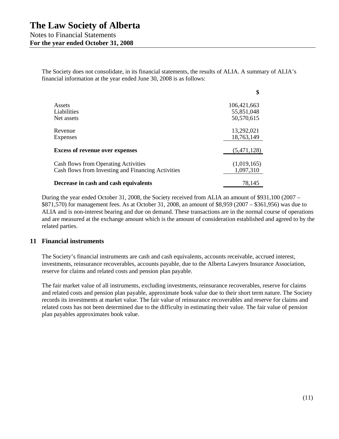The Society does not consolidate, in its financial statements, the results of ALIA. A summary of ALIA's financial information at the year ended June 30, 2008 is as follows:

|                                                    | \$          |
|----------------------------------------------------|-------------|
| Assets                                             | 106,421,663 |
| Liabilities                                        | 55,851,048  |
| Net assets                                         | 50,570,615  |
| Revenue                                            | 13,292,021  |
| <b>Expenses</b>                                    | 18,763,149  |
| <b>Excess of revenue over expenses</b>             | (5,471,128) |
| Cash flows from Operating Activities               | (1,019,165) |
| Cash flows from Investing and Financing Activities | 1,097,310   |
| Decrease in cash and cash equivalents              | 78,145      |

During the year ended October 31, 2008, the Society received from ALIA an amount of \$931,100 (2007 – \$871,570) for management fees. As at October 31, 2008, an amount of \$8,959 (2007 – \$361,956) was due to ALIA and is non-interest bearing and due on demand. These transactions are in the normal course of operations and are measured at the exchange amount which is the amount of consideration established and agreed to by the related parties.

#### **11 Financial instruments**

The Society's financial instruments are cash and cash equivalents, accounts receivable, accrued interest, investments, reinsurance recoverables, accounts payable, due to the Alberta Lawyers Insurance Association, reserve for claims and related costs and pension plan payable.

The fair market value of all instruments, excluding investments, reinsurance recoverables, reserve for claims and related costs and pension plan payable, approximate book value due to their short term nature. The Society records its investments at market value. The fair value of reinsurance recoverables and reserve for claims and related costs has not been determined due to the difficulty in estimating their value. The fair value of pension plan payables approximates book value.